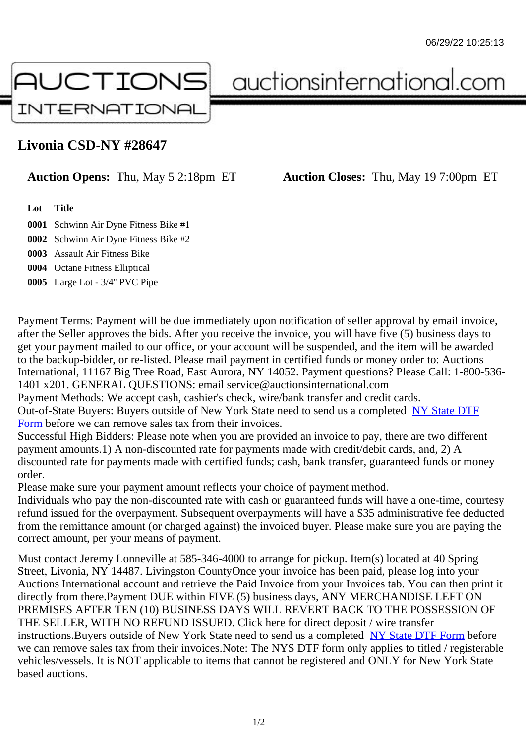## Livonia CSD-NY #28647

## Auction Opens: Thu, May 5 2:18pm ET Auction Closes: Thu, May 19 7:00pm ET

Lot Title

0001 Schwinn Air Dyne Fitness Bike #1

0002 Schwinn Air Dyne Fitness Bike #2

0003 Assault Air Fitness Bike

0004 Octane Fitness Elliptical

0005 Large Lot - 3/4'' PVC Pipe

Payment Terms: Payment will be due immediately upon notification of seller approval by email invoice, after the Seller approves the bids. After you receive the invoice, you will have five (5) business days to get your payment mailed to our office, or your account will be suspended, and the item will be awarded to the backup-bidder, or re-listed. Please mail payment in certified funds or money order to: Auctions International, 11167 Big Tree Road, East Aurora, NY 14052. Payment questions? Please Call: 1-800-53 1401 x201. GENERAL QUESTIONS: email service@auctionsinternational.com

Payment Methods: We accept cash, cashier's check, wire/bank transfer and credit cards.

Out-of-State Buyers: Buyers outside of New York State need to send us a com blestate DTF Form before we can remove sales tax from their invoices.

Successful High Bidders: Please note when you are provided an invoice to pay, there are two different payment amounts.1) A non-discounted rate for payments made with credit/de[bit cards, and](https://www.auctionsinternational.com/auxiliary/downloads/DTF_Form/dtf_fill_in.pdf), 2) A [disco](https://www.auctionsinternational.com/auxiliary/downloads/DTF_Form/dtf_fill_in.pdf)unted rate for payments made with certified funds; cash, bank transfer, quaranteed funds or mone order.

Please make sure your payment amount reflects your choice of payment method.

Individuals who pay the non-discounted rate with cash or quaranteed funds will have a one-time, courte refund issued for the overpayment. Subsequent overpayments will have a \$35 administrative fee deduc from the remittance amount (or charged against) the invoiced buyer. Please make sure you are paying correct amount, per your means of payment.

Must contact Jeremy Lonneville at 585-346-4000 to arrange for pickup. Item(s) located at 40 Spring Street, Livonia, NY 14487. Livingston CountyOnce your invoice has been paid, please log into your Auctions International account and retrieve the Paid Invoice from your Invoices tab. You can then print i directly from there.Payment DUE within FIVE (5) business days, ANY MERCHANDISE LEFT ON PREMISES AFTER TEN (10) BUSINESS DAYS WILL REVERT BACK TO THE POSSESSION OF THE SELLER, WITH NO REFUND ISSUED. Click here for direct deposit / wire transfer instructions. Buyers outside of New York State need to send us a combletedate DTF Form before we can remove sales tax from their invoices.Note: The NYS DTF form only applies to titled / registerable vehicles/vessels. It is NOT applicable to items that cannot be registered and ONLY for New York State based auctions.